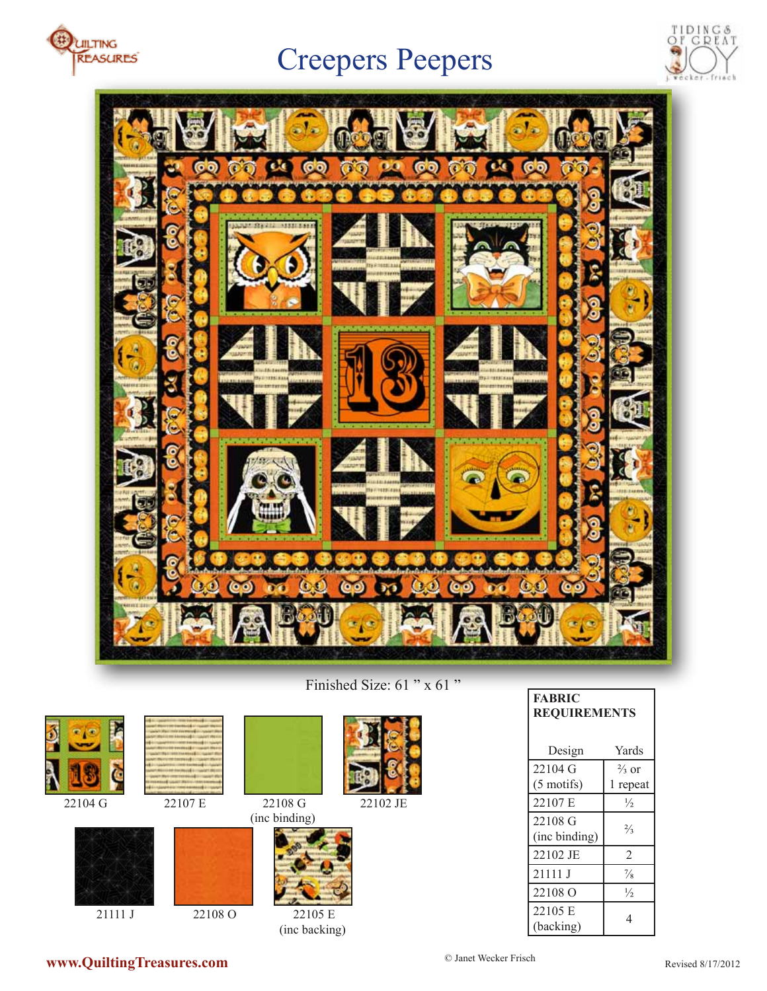

# Creepers Peepers





Finished Size: 61 " x 61 "

| $\Omega$ |  |
|----------|--|





21111 J 22108 O



(inc binding)



(inc backing)

|                        | <b>FABRIC</b><br><b>REQUIREMENTS</b> |                              |
|------------------------|--------------------------------------|------------------------------|
|                        | Design                               | Yards                        |
|                        | 22104 G<br>$(5 \text{ motifs})$      | $\frac{2}{3}$ or<br>1 repeat |
| 3 G<br>22102 JE        | 22107 E                              | $\frac{1}{2}$                |
| ding)                  | 22108 G<br>(inc binding)             | $\frac{2}{3}$                |
|                        | 22102 JE                             | $\overline{2}$               |
|                        | 21111 J                              | $\frac{7}{8}$                |
|                        | 22108 O                              | $\frac{1}{2}$                |
| 22105 E<br>ic backing) | 22105 E<br>(backing)                 | $\overline{4}$               |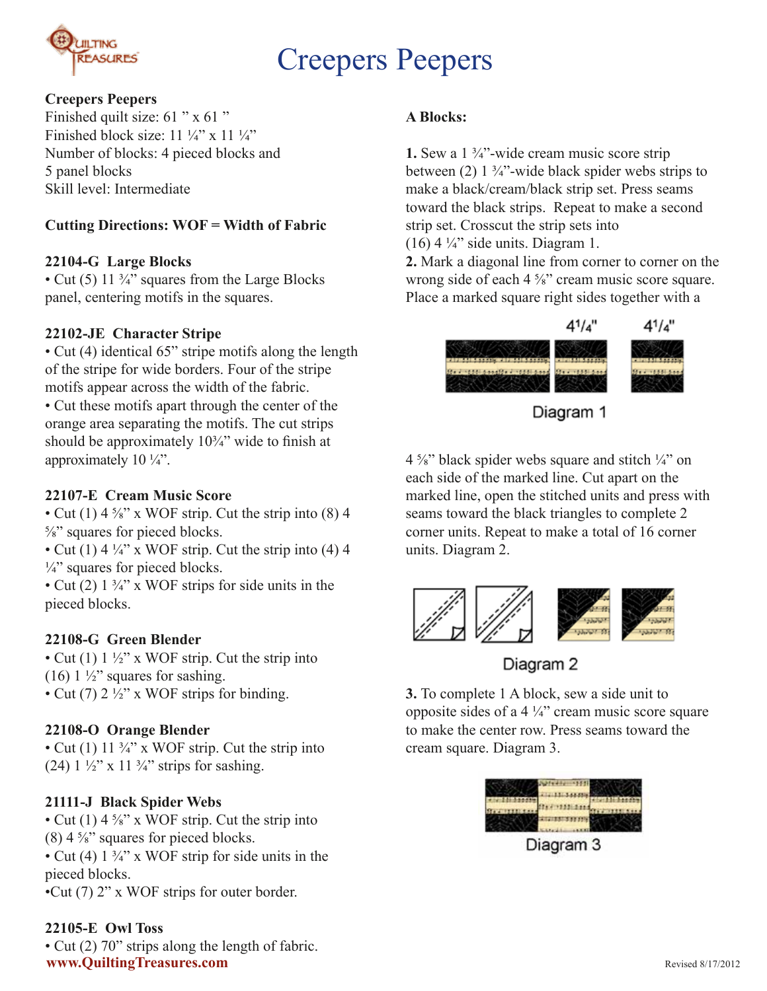

# Creepers Peepers

### **Creepers Peepers**

Finished quilt size: 61 " x 61 " Finished block size:  $11\frac{1}{4}$ " x  $11\frac{1}{4}$ " Number of blocks: 4 pieced blocks and 5 panel blocks Skill level: Intermediate

### **Cutting Directions: WOF = Width of Fabric**

### **22104-G Large Blocks**

• Cut (5) 11 <sup>3</sup>/<sub>4</sub>" squares from the Large Blocks panel, centering motifs in the squares.

### **22102-JE Character Stripe**

• Cut (4) identical 65" stripe motifs along the length of the stripe for wide borders. Four of the stripe motifs appear across the width of the fabric. • Cut these motifs apart through the center of the orange area separating the motifs. The cut strips should be approximately  $10\frac{3}{4}$ " wide to finish at approximately 10 ¼".

#### **22107-E Cream Music Score**

• Cut (1)  $4\frac{5}{8}$ " x WOF strip. Cut the strip into (8) 4 ⅝" squares for pieced blocks.

• Cut (1) 4  $\frac{1}{4}$ " x WOF strip. Cut the strip into (4) 4  $\frac{1}{4}$ " squares for pieced blocks.

• Cut (2)  $1\frac{3}{4}$ " x WOF strips for side units in the pieced blocks.

# **22108-G Green Blender**

• Cut (1)  $1\frac{1}{2}$ " x WOF strip. Cut the strip into (16)  $1\frac{1}{2}$  squares for sashing. • Cut (7)  $2\frac{1}{2}$ " x WOF strips for binding.

# **22108-O Orange Blender**

• Cut (1)  $11 \frac{3}{4}$  x WOF strip. Cut the strip into (24)  $1\frac{1}{2}$ " x  $11\frac{3}{4}$ " strips for sashing.

# **21111-J Black Spider Webs**

• Cut (1)  $4\frac{5}{8}$ " x WOF strip. Cut the strip into  $(8)$  4  $\frac{5}{8}$ " squares for pieced blocks. • Cut (4)  $1\frac{3}{4}$ " x WOF strip for side units in the pieced blocks. •Cut (7) 2" x WOF strips for outer border.

#### **22105-E Owl Toss**

• Cut (2) 70" strips along the length of fabric. **www.QuiltingTreasures.com**

#### **A Blocks:**

**1.** Sew a 1 ¾"-wide cream music score strip between  $(2)$  1  $\frac{3}{4}$ "-wide black spider webs strips to make a black/cream/black strip set. Press seams toward the black strips. Repeat to make a second strip set. Crosscut the strip sets into  $(16)$  4  $\frac{1}{4}$ " side units. Diagram 1.

**2.** Mark a diagonal line from corner to corner on the wrong side of each 4 <sup>5</sup>/<sub>8</sub>" cream music score square. Place a marked square right sides together with a



Diagram 1

 $4\frac{5}{8}$ " black spider webs square and stitch  $\frac{1}{4}$ " on each side of the marked line. Cut apart on the marked line, open the stitched units and press with seams toward the black triangles to complete 2 corner units. Repeat to make a total of 16 corner units. Diagram 2.





**3.** To complete 1 A block, sew a side unit to opposite sides of a 4 ¼" cream music score square to make the center row. Press seams toward the cream square. Diagram 3.